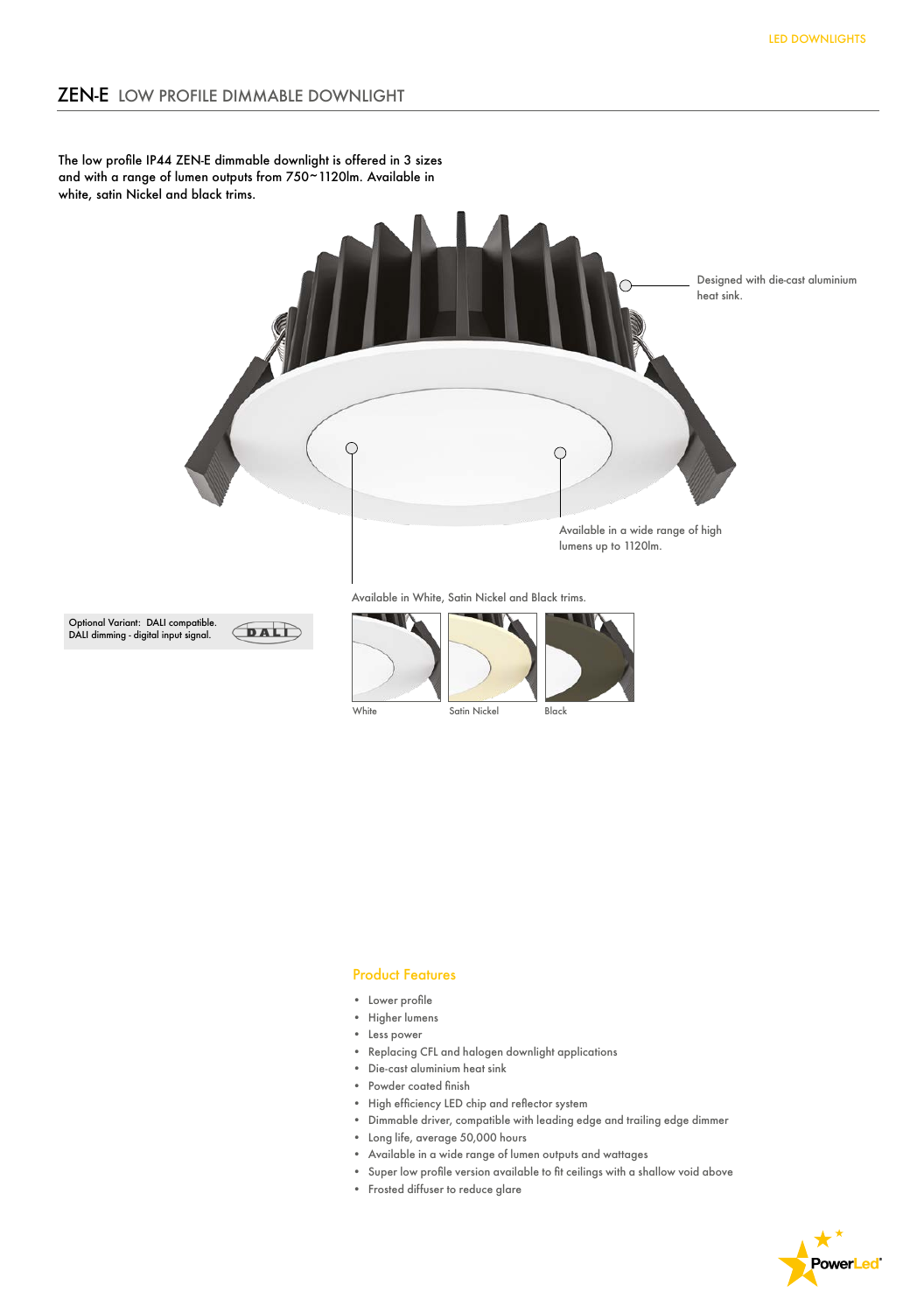The low profile IP44 ZEN-E dimmable downlight is offered in 3 sizes and with a range of lumen outputs from 750~1120lm. Available in white, satin Nickel and black trims.



White Satin Nickel Black

## Product Features

- • Lower profile
- • Higher lumens
- Less power
- Replacing CFL and halogen downlight applications
- Die-cast aluminium heat sink
- Powder coated finish
- High efficiency LED chip and reflector system
- Dimmable driver, compatible with leading edge and trailing edge dimmer
- Long life, average 50,000 hours
- Available in a wide range of lumen outputs and wattages
- Super low profile version available to fit ceilings with a shallow void above
- Frosted diffuser to reduce glare